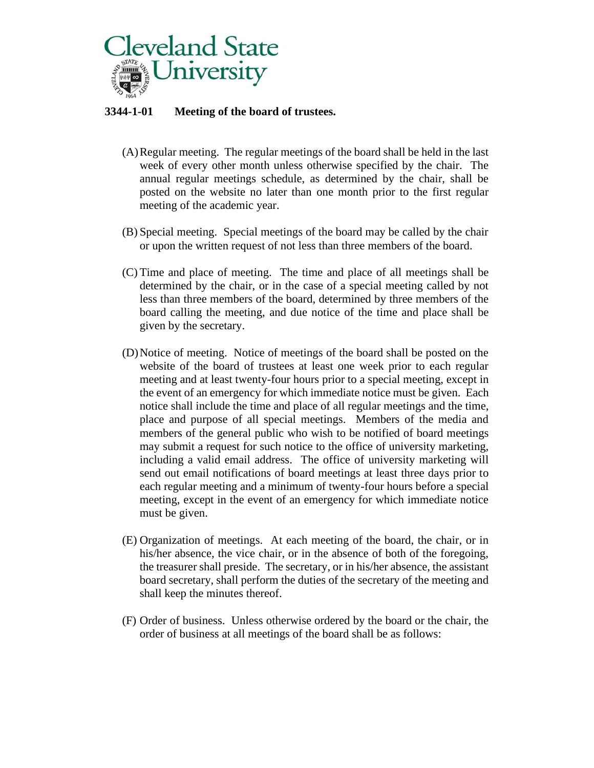

# **3344-1-01 Meeting of the board of trustees.**

- (A)Regular meeting. The regular meetings of the board shall be held in the last week of every other month unless otherwise specified by the chair. The annual regular meetings schedule, as determined by the chair, shall be posted on the website no later than one month prior to the first regular meeting of the academic year.
- (B) Special meeting. Special meetings of the board may be called by the chair or upon the written request of not less than three members of the board.
- (C) Time and place of meeting. The time and place of all meetings shall be determined by the chair, or in the case of a special meeting called by not less than three members of the board, determined by three members of the board calling the meeting, and due notice of the time and place shall be given by the secretary.
- (D)Notice of meeting. Notice of meetings of the board shall be posted on the website of the board of trustees at least one week prior to each regular meeting and at least twenty-four hours prior to a special meeting, except in the event of an emergency for which immediate notice must be given. Each notice shall include the time and place of all regular meetings and the time, place and purpose of all special meetings. Members of the media and members of the general public who wish to be notified of board meetings may submit a request for such notice to the office of university marketing, including a valid email address. The office of university marketing will send out email notifications of board meetings at least three days prior to each regular meeting and a minimum of twenty-four hours before a special meeting, except in the event of an emergency for which immediate notice must be given.
- (E) Organization of meetings. At each meeting of the board, the chair, or in his/her absence, the vice chair, or in the absence of both of the foregoing, the treasurer shall preside. The secretary, or in his/her absence, the assistant board secretary, shall perform the duties of the secretary of the meeting and shall keep the minutes thereof.
- (F) Order of business. Unless otherwise ordered by the board or the chair, the order of business at all meetings of the board shall be as follows: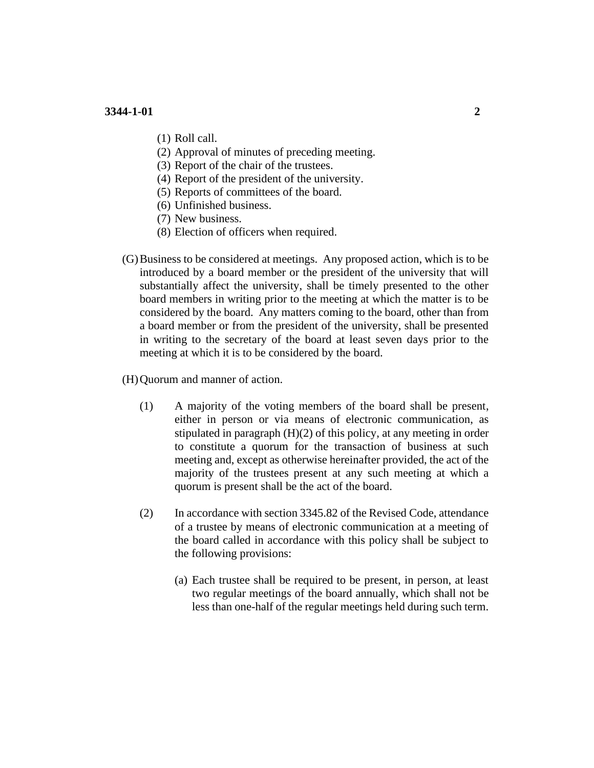- (1) Roll call.
- (2) Approval of minutes of preceding meeting.
- (3) Report of the chair of the trustees.
- (4) Report of the president of the university.
- (5) Reports of committees of the board.
- (6) Unfinished business.
- (7) New business.
- (8) Election of officers when required.
- (G)Business to be considered at meetings. Any proposed action, which is to be introduced by a board member or the president of the university that will substantially affect the university, shall be timely presented to the other board members in writing prior to the meeting at which the matter is to be considered by the board. Any matters coming to the board, other than from a board member or from the president of the university, shall be presented in writing to the secretary of the board at least seven days prior to the meeting at which it is to be considered by the board.
- (H)Quorum and manner of action.
	- (1) A majority of the voting members of the board shall be present, either in person or via means of electronic communication, as stipulated in paragraph (H)(2) of this policy, at any meeting in order to constitute a quorum for the transaction of business at such meeting and, except as otherwise hereinafter provided, the act of the majority of the trustees present at any such meeting at which a quorum is present shall be the act of the board.
	- (2) In accordance with section 3345.82 of the Revised Code, attendance of a trustee by means of electronic communication at a meeting of the board called in accordance with this policy shall be subject to the following provisions:
		- (a) Each trustee shall be required to be present, in person, at least two regular meetings of the board annually, which shall not be less than one-half of the regular meetings held during such term.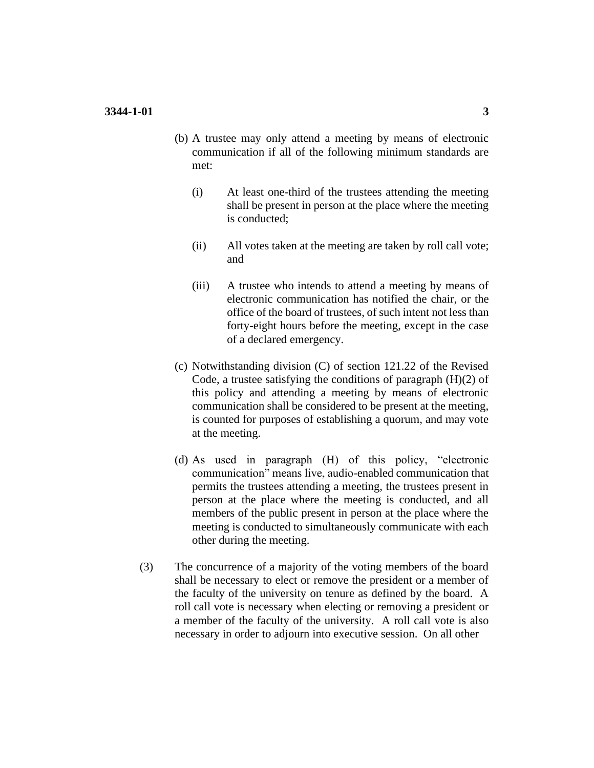- (b) A trustee may only attend a meeting by means of electronic communication if all of the following minimum standards are met:
	- (i) At least one-third of the trustees attending the meeting shall be present in person at the place where the meeting is conducted;
	- (ii) All votes taken at the meeting are taken by roll call vote; and
	- (iii) A trustee who intends to attend a meeting by means of electronic communication has notified the chair, or the office of the board of trustees, of such intent not less than forty-eight hours before the meeting, except in the case of a declared emergency.
- (c) Notwithstanding division (C) of section 121.22 of the Revised Code, a trustee satisfying the conditions of paragraph  $(H)(2)$  of this policy and attending a meeting by means of electronic communication shall be considered to be present at the meeting, is counted for purposes of establishing a quorum, and may vote at the meeting.
- (d) As used in paragraph (H) of this policy, "electronic communication" means live, audio-enabled communication that permits the trustees attending a meeting, the trustees present in person at the place where the meeting is conducted, and all members of the public present in person at the place where the meeting is conducted to simultaneously communicate with each other during the meeting.
- (3) The concurrence of a majority of the voting members of the board shall be necessary to elect or remove the president or a member of the faculty of the university on tenure as defined by the board. A roll call vote is necessary when electing or removing a president or a member of the faculty of the university. A roll call vote is also necessary in order to adjourn into executive session. On all other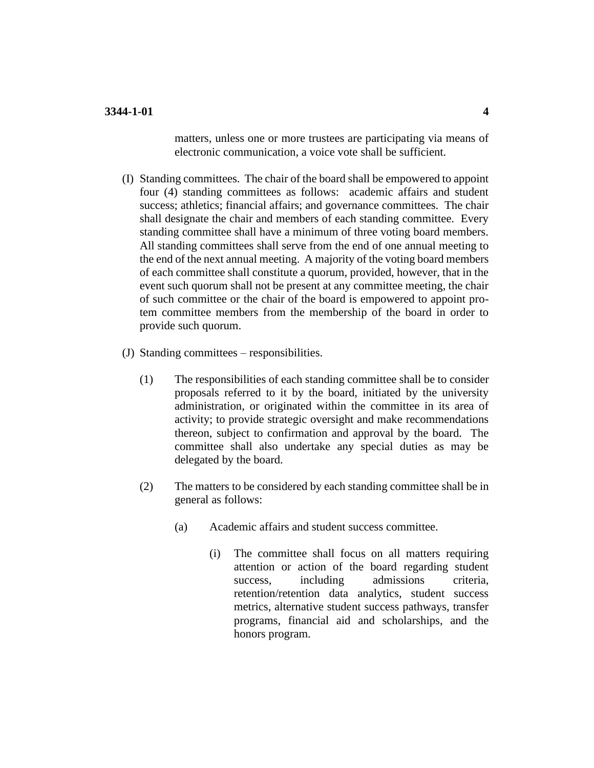matters, unless one or more trustees are participating via means of electronic communication, a voice vote shall be sufficient.

- (I) Standing committees. The chair of the board shall be empowered to appoint four (4) standing committees as follows: academic affairs and student success; athletics; financial affairs; and governance committees. The chair shall designate the chair and members of each standing committee. Every standing committee shall have a minimum of three voting board members. All standing committees shall serve from the end of one annual meeting to the end of the next annual meeting. A majority of the voting board members of each committee shall constitute a quorum, provided, however, that in the event such quorum shall not be present at any committee meeting, the chair of such committee or the chair of the board is empowered to appoint protem committee members from the membership of the board in order to provide such quorum.
- (J) Standing committees responsibilities.
	- (1) The responsibilities of each standing committee shall be to consider proposals referred to it by the board, initiated by the university administration, or originated within the committee in its area of activity; to provide strategic oversight and make recommendations thereon, subject to confirmation and approval by the board. The committee shall also undertake any special duties as may be delegated by the board.
	- (2) The matters to be considered by each standing committee shall be in general as follows:
		- (a) Academic affairs and student success committee.
			- (i) The committee shall focus on all matters requiring attention or action of the board regarding student success, including admissions criteria, retention/retention data analytics, student success metrics, alternative student success pathways, transfer programs, financial aid and scholarships, and the honors program.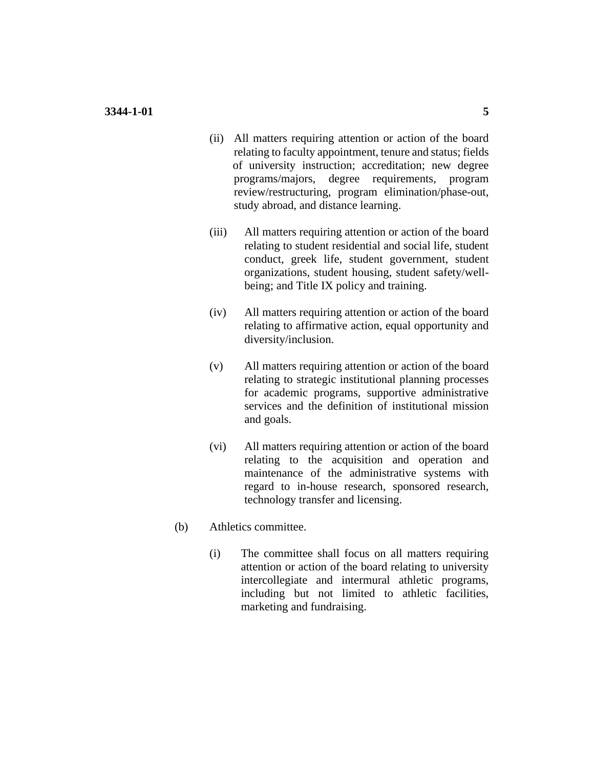- (ii) All matters requiring attention or action of the board relating to faculty appointment, tenure and status; fields of university instruction; accreditation; new degree programs/majors, degree requirements, program review/restructuring, program elimination/phase-out, study abroad, and distance learning.
- (iii) All matters requiring attention or action of the board relating to student residential and social life, student conduct, greek life, student government, student organizations, student housing, student safety/wellbeing; and Title IX policy and training.
- (iv) All matters requiring attention or action of the board relating to affirmative action, equal opportunity and diversity/inclusion.
- (v) All matters requiring attention or action of the board relating to strategic institutional planning processes for academic programs, supportive administrative services and the definition of institutional mission and goals.
- (vi) All matters requiring attention or action of the board relating to the acquisition and operation and maintenance of the administrative systems with regard to in-house research, sponsored research, technology transfer and licensing.
- (b) Athletics committee.
	- (i) The committee shall focus on all matters requiring attention or action of the board relating to university intercollegiate and intermural athletic programs, including but not limited to athletic facilities, marketing and fundraising.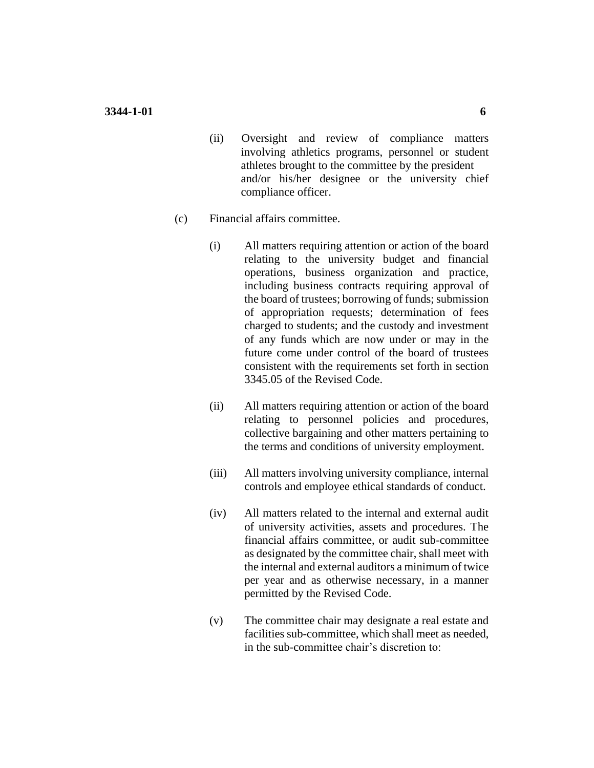- (ii) Oversight and review of compliance matters involving athletics programs, personnel or student athletes brought to the committee by the president and/or his/her designee or the university chief compliance officer.
- (c) Financial affairs committee.
	- (i) All matters requiring attention or action of the board relating to the university budget and financial operations, business organization and practice, including business contracts requiring approval of the board of trustees; borrowing of funds; submission of appropriation requests; determination of fees charged to students; and the custody and investment of any funds which are now under or may in the future come under control of the board of trustees consistent with the requirements set forth in section 3345.05 of the Revised Code.
	- (ii) All matters requiring attention or action of the board relating to personnel policies and procedures, collective bargaining and other matters pertaining to the terms and conditions of university employment.
	- (iii) All matters involving university compliance, internal controls and employee ethical standards of conduct.
	- (iv) All matters related to the internal and external audit of university activities, assets and procedures. The financial affairs committee, or audit sub-committee as designated by the committee chair, shall meet with the internal and external auditors a minimum of twice per year and as otherwise necessary, in a manner permitted by the Revised Code.
	- (v) The committee chair may designate a real estate and facilities sub-committee, which shall meet as needed, in the sub-committee chair's discretion to: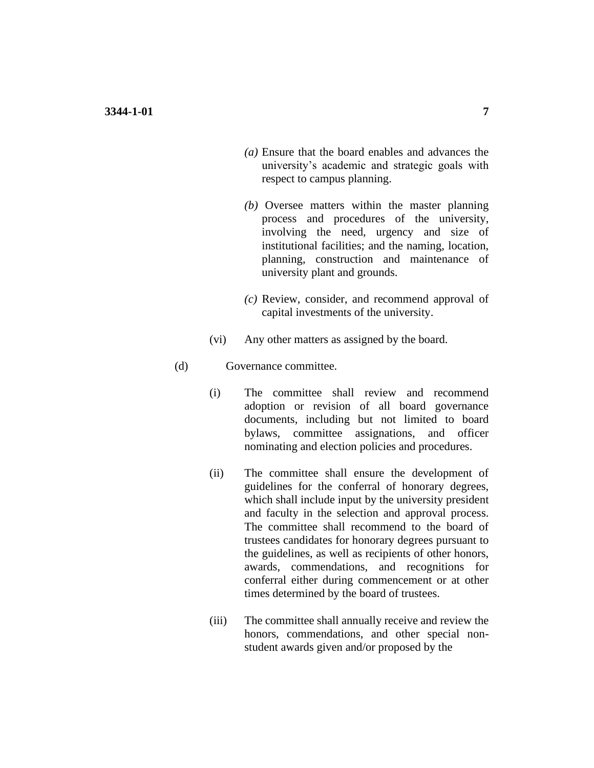- *(a)* Ensure that the board enables and advances the university's academic and strategic goals with respect to campus planning.
- *(b)* Oversee matters within the master planning process and procedures of the university, involving the need, urgency and size of institutional facilities; and the naming, location, planning, construction and maintenance of university plant and grounds.
- *(c)* Review, consider, and recommend approval of capital investments of the university.
- (vi) Any other matters as assigned by the board.
- (d) Governance committee.
	- (i) The committee shall review and recommend adoption or revision of all board governance documents, including but not limited to board bylaws, committee assignations, and officer nominating and election policies and procedures.
	- (ii) The committee shall ensure the development of guidelines for the conferral of honorary degrees, which shall include input by the university president and faculty in the selection and approval process. The committee shall recommend to the board of trustees candidates for honorary degrees pursuant to the guidelines, as well as recipients of other honors, awards, commendations, and recognitions for conferral either during commencement or at other times determined by the board of trustees.
	- (iii) The committee shall annually receive and review the honors, commendations, and other special nonstudent awards given and/or proposed by the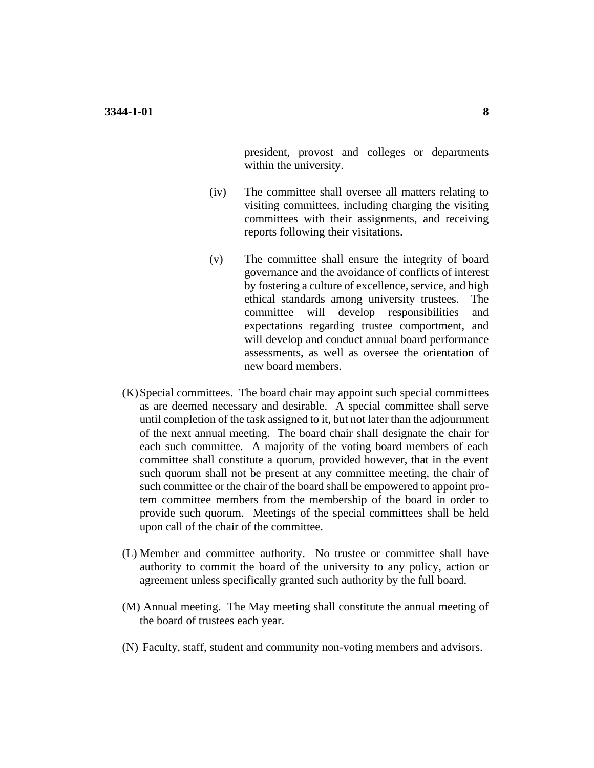president, provost and colleges or departments within the university.

- (iv) The committee shall oversee all matters relating to visiting committees, including charging the visiting committees with their assignments, and receiving reports following their visitations.
- (v) The committee shall ensure the integrity of board governance and the avoidance of conflicts of interest by fostering a culture of excellence, service, and high ethical standards among university trustees. The committee will develop responsibilities and expectations regarding trustee comportment, and will develop and conduct annual board performance assessments, as well as oversee the orientation of new board members.
- (K)Special committees. The board chair may appoint such special committees as are deemed necessary and desirable. A special committee shall serve until completion of the task assigned to it, but not later than the adjournment of the next annual meeting. The board chair shall designate the chair for each such committee. A majority of the voting board members of each committee shall constitute a quorum, provided however, that in the event such quorum shall not be present at any committee meeting, the chair of such committee or the chair of the board shall be empowered to appoint protem committee members from the membership of the board in order to provide such quorum. Meetings of the special committees shall be held upon call of the chair of the committee.
- (L) Member and committee authority. No trustee or committee shall have authority to commit the board of the university to any policy, action or agreement unless specifically granted such authority by the full board.
- (M) Annual meeting. The May meeting shall constitute the annual meeting of the board of trustees each year.
- (N) Faculty, staff, student and community non-voting members and advisors.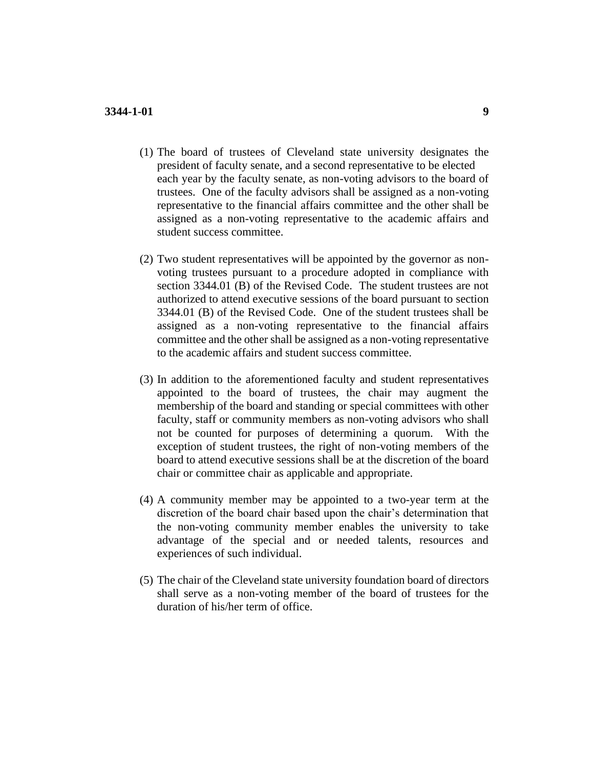- (1) The board of trustees of Cleveland state university designates the president of faculty senate, and a second representative to be elected each year by the faculty senate, as non-voting advisors to the board of trustees. One of the faculty advisors shall be assigned as a non-voting representative to the financial affairs committee and the other shall be assigned as a non-voting representative to the academic affairs and student success committee.
- (2) Two student representatives will be appointed by the governor as nonvoting trustees pursuant to a procedure adopted in compliance with section 3344.01 (B) of the Revised Code. The student trustees are not authorized to attend executive sessions of the board pursuant to section 3344.01 (B) of the Revised Code. One of the student trustees shall be assigned as a non-voting representative to the financial affairs committee and the other shall be assigned as a non-voting representative to the academic affairs and student success committee.
- (3) In addition to the aforementioned faculty and student representatives appointed to the board of trustees, the chair may augment the membership of the board and standing or special committees with other faculty, staff or community members as non-voting advisors who shall not be counted for purposes of determining a quorum. With the exception of student trustees, the right of non-voting members of the board to attend executive sessions shall be at the discretion of the board chair or committee chair as applicable and appropriate.
- (4) A community member may be appointed to a two-year term at the discretion of the board chair based upon the chair's determination that the non-voting community member enables the university to take advantage of the special and or needed talents, resources and experiences of such individual.
- (5) The chair of the Cleveland state university foundation board of directors shall serve as a non-voting member of the board of trustees for the duration of his/her term of office.